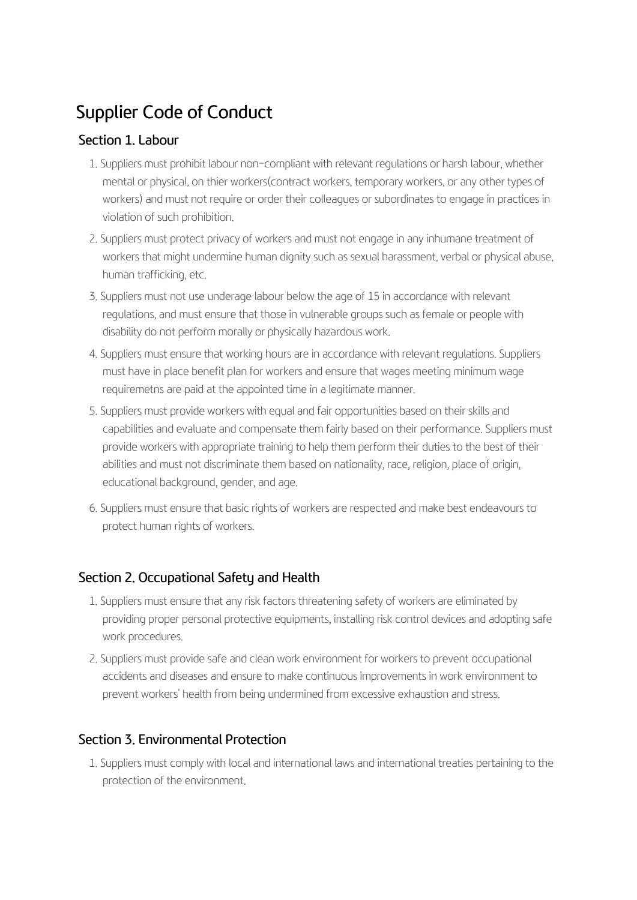# Supplier Code of Conduct

### Section 1. Labour

- 1. Suppliers must prohibit labour non-compliant with relevant regulations or harsh labour, whether mental or physical, on thier workers(contract workers, temporary workers, or any other types of workers) and must not require or order their colleagues or subordinates to engage in practices in violation of such prohibition.
- 2. Suppliers must protect privacy of workers and must not engage in any inhumane treatment of workers that might undermine human dignity such as sexual harassment, verbal or physical abuse, human trafficking, etc.
- 3. Suppliers must not use underage labour below the age of 15 in accordance with relevant regulations, and must ensure that those in vulnerable groups such as female or people with disability do not perform morally or physically hazardous work.
- 4. Suppliers must ensure that working hours are in accordance with relevant regulations. Suppliers must have in place benefit plan for workers and ensure that wages meeting minimum wage requiremetns are paid at the appointed time in a legitimate manner.
- 5. Suppliers must provide workers with equal and fair opportunities based on their skills and capabilities and evaluate and compensate them fairly based on their performance. Suppliers must provide workers with appropriate training to help them perform their duties to the best of their abilities and must not discriminate them based on nationality, race, religion, place of origin, educational background, gender, and age.
- 6. Suppliers must ensure that basic rights of workers are respected and make best endeavours to protect human rights of workers.

## Section 2. Occupational Safety and Health

- 1. Suppliers must ensure that any risk factors threatening safety of workers are eliminated by providing proper personal protective equipments, installing risk control devices and adopting safe work procedures.
- 2. Suppliers must provide safe and clean work environment for workers to prevent occupational accidents and diseases and ensure to make continuous improvements in work environment to prevent workers' health from being undermined from excessive exhaustion and stress.

## Section 3. Environmental Protection

1. Suppliers must comply with local and international laws and international treaties pertaining to the protection of the environment.